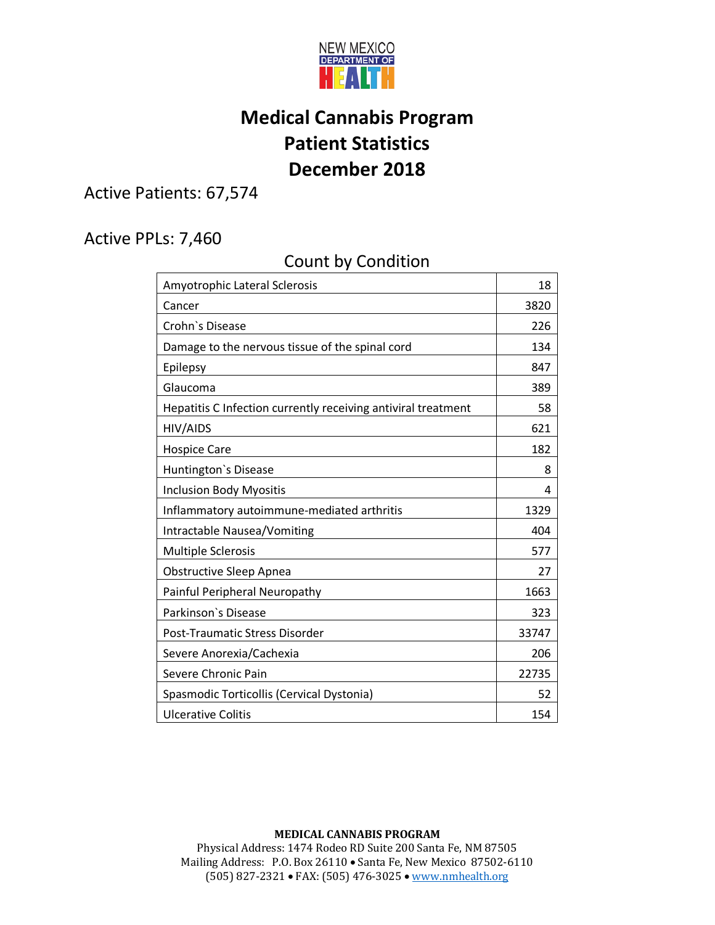

## **Medical Cannabis Program Patient Statistics December 2018**

Active Patients: 67,574

## Active PPLs: 7,460

## Count by Condition

| Amyotrophic Lateral Sclerosis                                 | 18    |
|---------------------------------------------------------------|-------|
| Cancer                                                        | 3820  |
| Crohn's Disease                                               | 226   |
| Damage to the nervous tissue of the spinal cord               | 134   |
| Epilepsy                                                      | 847   |
| Glaucoma                                                      | 389   |
| Hepatitis C Infection currently receiving antiviral treatment | 58    |
| HIV/AIDS                                                      | 621   |
| <b>Hospice Care</b>                                           | 182   |
| Huntington's Disease                                          | 8     |
| <b>Inclusion Body Myositis</b>                                | 4     |
| Inflammatory autoimmune-mediated arthritis                    | 1329  |
| Intractable Nausea/Vomiting                                   | 404   |
| <b>Multiple Sclerosis</b>                                     | 577   |
| <b>Obstructive Sleep Apnea</b>                                | 27    |
| Painful Peripheral Neuropathy                                 | 1663  |
| Parkinson's Disease                                           | 323   |
| Post-Traumatic Stress Disorder                                | 33747 |
| Severe Anorexia/Cachexia                                      | 206   |
| Severe Chronic Pain                                           | 22735 |
| Spasmodic Torticollis (Cervical Dystonia)                     | 52    |
| <b>Ulcerative Colitis</b>                                     | 154   |